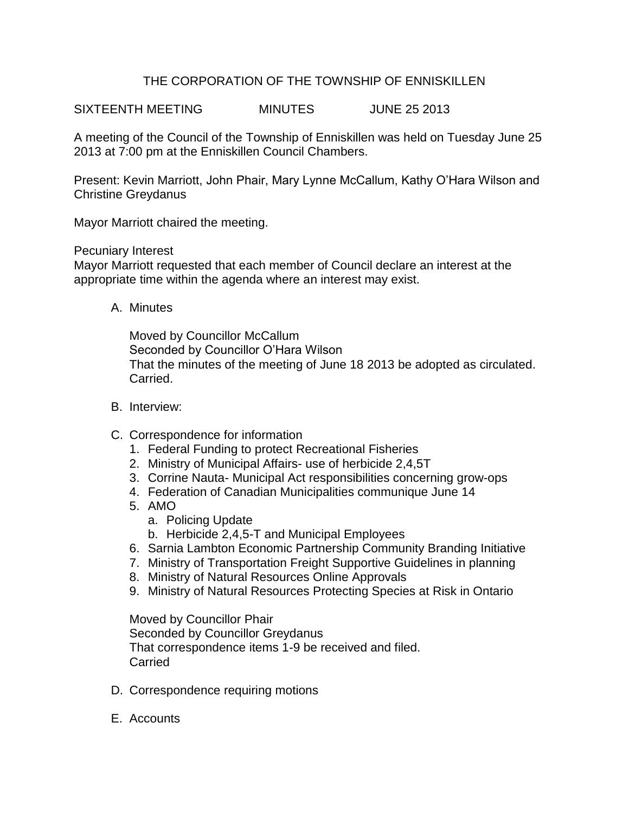## THE CORPORATION OF THE TOWNSHIP OF ENNISKILLEN

SIXTEENTH MEETING MINUTES JUNE 25 2013

A meeting of the Council of the Township of Enniskillen was held on Tuesday June 25 2013 at 7:00 pm at the Enniskillen Council Chambers.

Present: Kevin Marriott, John Phair, Mary Lynne McCallum, Kathy O'Hara Wilson and Christine Greydanus

Mayor Marriott chaired the meeting.

Pecuniary Interest

Mayor Marriott requested that each member of Council declare an interest at the appropriate time within the agenda where an interest may exist.

A. Minutes

Moved by Councillor McCallum Seconded by Councillor O'Hara Wilson That the minutes of the meeting of June 18 2013 be adopted as circulated. Carried.

- B. Interview:
- C. Correspondence for information
	- 1. Federal Funding to protect Recreational Fisheries
	- 2. Ministry of Municipal Affairs- use of herbicide 2,4,5T
	- 3. Corrine Nauta- Municipal Act responsibilities concerning grow-ops
	- 4. Federation of Canadian Municipalities communique June 14
	- 5. AMO
		- a. Policing Update
		- b. Herbicide 2,4,5-T and Municipal Employees
	- 6. Sarnia Lambton Economic Partnership Community Branding Initiative
	- 7. Ministry of Transportation Freight Supportive Guidelines in planning
	- 8. Ministry of Natural Resources Online Approvals
	- 9. Ministry of Natural Resources Protecting Species at Risk in Ontario

Moved by Councillor Phair Seconded by Councillor Greydanus That correspondence items 1-9 be received and filed. **Carried** 

- D. Correspondence requiring motions
- E. Accounts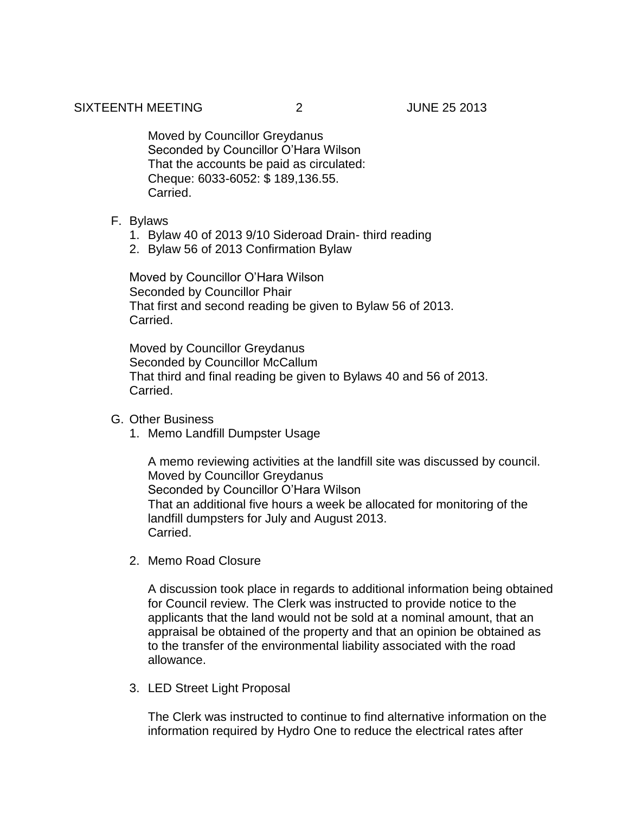Moved by Councillor Greydanus Seconded by Councillor O'Hara Wilson That the accounts be paid as circulated: Cheque: 6033-6052: \$ 189,136.55. Carried.

- F. Bylaws
	- 1. Bylaw 40 of 2013 9/10 Sideroad Drain- third reading
	- 2. Bylaw 56 of 2013 Confirmation Bylaw

Moved by Councillor O'Hara Wilson Seconded by Councillor Phair That first and second reading be given to Bylaw 56 of 2013. Carried.

Moved by Councillor Greydanus Seconded by Councillor McCallum That third and final reading be given to Bylaws 40 and 56 of 2013. Carried.

- G. Other Business
	- 1. Memo Landfill Dumpster Usage

A memo reviewing activities at the landfill site was discussed by council. Moved by Councillor Greydanus Seconded by Councillor O'Hara Wilson That an additional five hours a week be allocated for monitoring of the landfill dumpsters for July and August 2013. Carried.

2. Memo Road Closure

A discussion took place in regards to additional information being obtained for Council review. The Clerk was instructed to provide notice to the applicants that the land would not be sold at a nominal amount, that an appraisal be obtained of the property and that an opinion be obtained as to the transfer of the environmental liability associated with the road allowance.

3. LED Street Light Proposal

The Clerk was instructed to continue to find alternative information on the information required by Hydro One to reduce the electrical rates after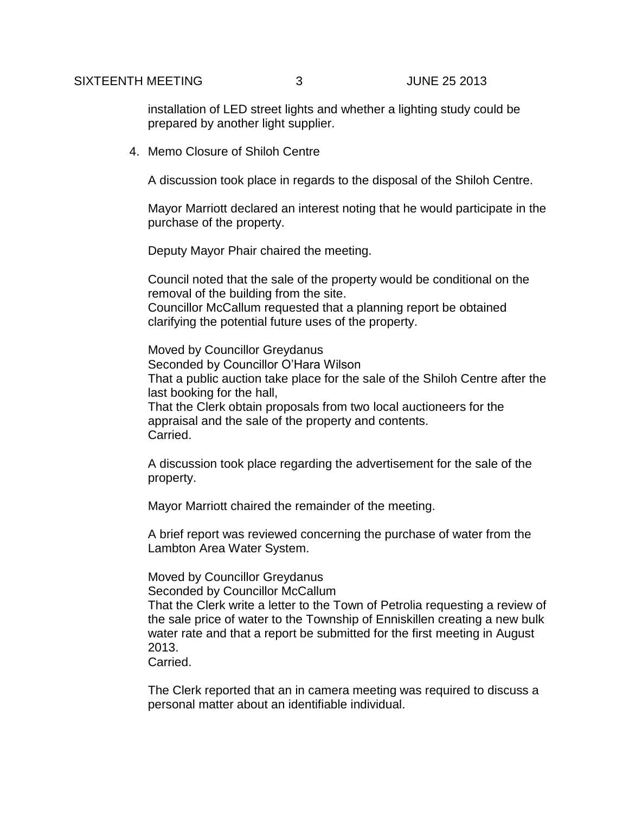installation of LED street lights and whether a lighting study could be prepared by another light supplier.

4. Memo Closure of Shiloh Centre

A discussion took place in regards to the disposal of the Shiloh Centre.

Mayor Marriott declared an interest noting that he would participate in the purchase of the property.

Deputy Mayor Phair chaired the meeting.

Council noted that the sale of the property would be conditional on the removal of the building from the site. Councillor McCallum requested that a planning report be obtained clarifying the potential future uses of the property.

Moved by Councillor Greydanus Seconded by Councillor O'Hara Wilson That a public auction take place for the sale of the Shiloh Centre after the last booking for the hall, That the Clerk obtain proposals from two local auctioneers for the appraisal and the sale of the property and contents.

Carried.

A discussion took place regarding the advertisement for the sale of the property.

Mayor Marriott chaired the remainder of the meeting.

A brief report was reviewed concerning the purchase of water from the Lambton Area Water System.

Moved by Councillor Greydanus

Seconded by Councillor McCallum That the Clerk write a letter to the Town of Petrolia requesting a review of the sale price of water to the Township of Enniskillen creating a new bulk water rate and that a report be submitted for the first meeting in August

2013.

Carried.

The Clerk reported that an in camera meeting was required to discuss a personal matter about an identifiable individual.